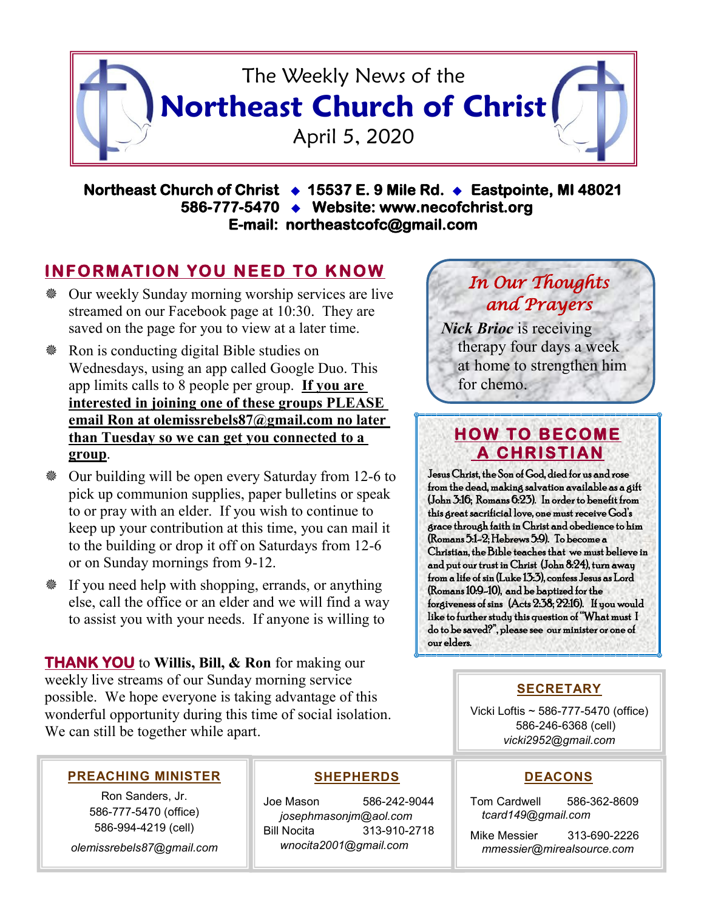

**Northeast Church of Christ 15537 E. 9 Mile Rd. Eastpointe, MI 48021 586-777-5470 Website: www.necofchrist.org E-mail: northeastcofc@gmail.com** 

## **INFORMATION YOU NEED TO KNOW**

- Our weekly Sunday morning worship services are live streamed on our Facebook page at 10:30. They are saved on the page for you to view at a later time.
- Ron is conducting digital Bible studies on Wednesdays, using an app called Google Duo. This app limits calls to 8 people per group. **If you are interested in joining one of these groups PLEASE email Ron at olemissrebels87@gmail.com no later than Tuesday so we can get you connected to a group**.
- Our building will be open every Saturday from 12-6 to pick up communion supplies, paper bulletins or speak to or pray with an elder. If you wish to continue to keep up your contribution at this time, you can mail it to the building or drop it off on Saturdays from 12-6 or on Sunday mornings from 9-12.
- If you need help with shopping, errands, or anything else, call the office or an elder and we will find a way to assist you with your needs. If anyone is willing to

**THANK YOU** to **Willis, Bill, & Ron** for making our weekly live streams of our Sunday morning service possible. We hope everyone is taking advantage of this wonderful opportunity during this time of social isolation. We can still be together while apart.

# *In Our Thoughts and Prayers*

*Nick Brioc* is receiving therapy four days a week at home to strengthen him for chemo.

## **HOW TO BECOME A CHRISTIAN**

Jesus Christ, the Son of God, died for us and rose from the dead, making salvation available as a gift (John 3:16; Romans 6:23). In order to benefit from this great sacrificial love, one must receive God's grace through faith in Christ and obedience to him (Romans 5:1-2; Hebrews 5:9). To become a Christian, the Bible teaches that we must believe in and put our trust in Christ (John 8:24), turn away from a life of sin (Luke 13:3), confess Jesus as Lord (Romans 10:9-10), and be baptized for the forgiveness of sins (Acts 2:38; 22:16). If you would like to further study this question of "What must I do to be saved?", please see our minister or one of our elders.

## **SECRETARY**

Vicki Loftis ~ 586-777-5470 (office) 586-246-6368 (cell) *vicki2952@gmail.com*

#### **PREACHING MINISTER**

Ron Sanders, Jr. 586-777-5470 (office) 586-994-4219 (cell)

*olemissrebels87@gmail.com*

### **SHEPHERDS**

Joe Mason 586-242-9044 *josephmasonjm@aol.com* Bill Nocita 313-910-2718 *wnocita2001@gmail.com*

#### **DEACONS**

Tom Cardwell 586-362-8609 *tcard149@gmail.com*

Mike Messier 313-690-2226 *mmessier@mirealsource.com*